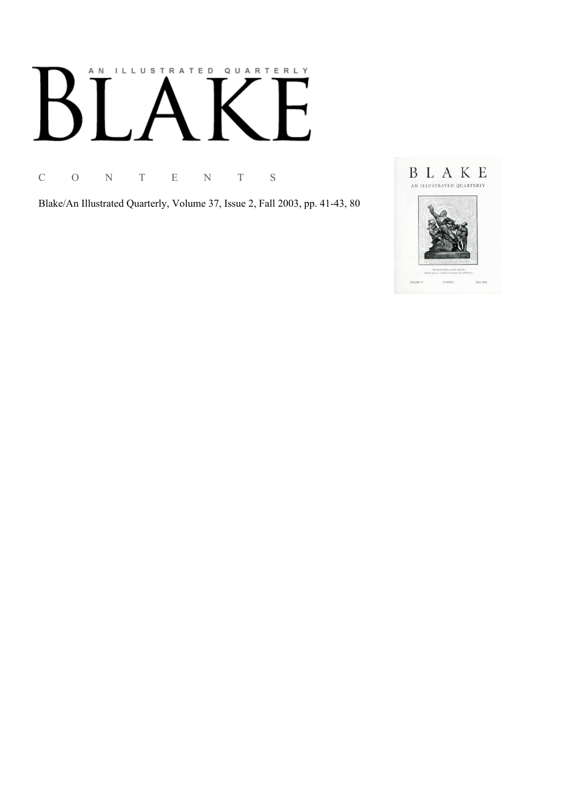# AN ILLUSTRATED QUARTERLY

C O N T E N T S

Blake/An Illustrated Quarterly, Volume 37, Issue 2, Fall 2003, pp. 41-43, 80

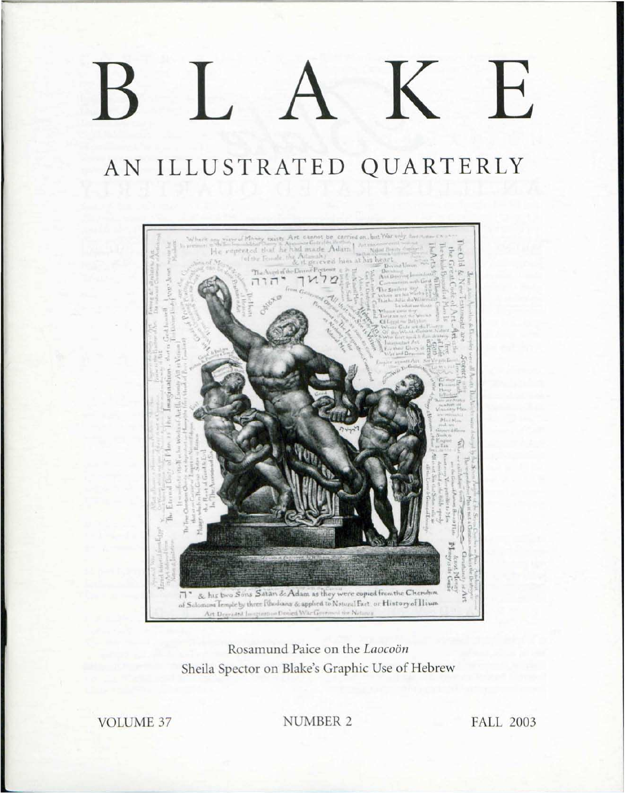## K E  $\frac{1}{2}$

## AN ILLUSTRATED QUARTERLY



### Rosamund Paice on the Laocoön Sheila Spector on Blake's Graphic Use of Hebrew

**VOLUME 37** 

**NUMBER 2** 

**FALL 2003**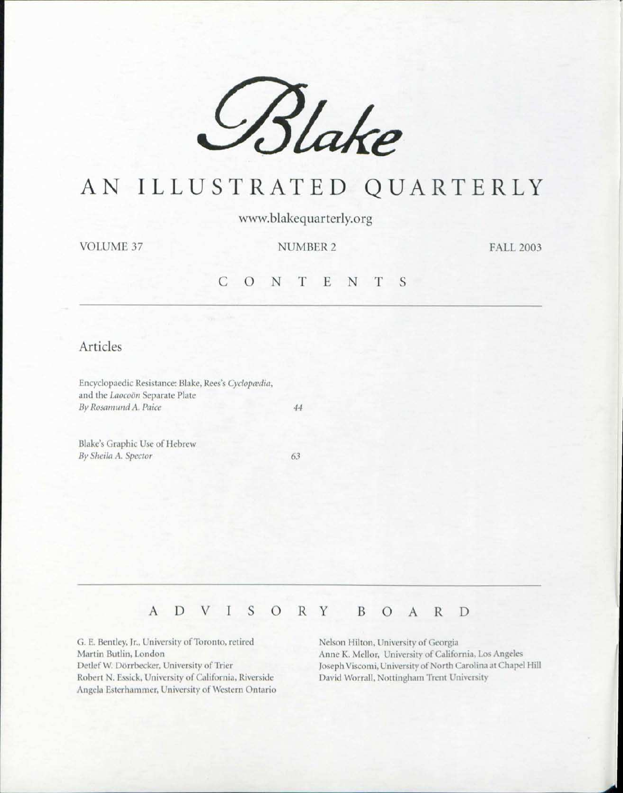

## AN ILLUSTRATED QUARTERLY

www.blakequarterly.org

**VOLUME 37** 

**NUMBER 2** 

**FALL 2003** 

#### $C$  O N T E N T S

#### Articles

Encyclopaedic Resistance: Blake, Rees's Cyclopædia, and the Laocoön Separate Plate By Rosamund A. Paice

Blake's Graphic Use of Hebrew By Sheila A. Spector

63

44

#### D I S O R Y  $\mathbf{A}$ V B O A R D

G. E. Bentley, Jr., University of Toronto, retired Martin Butlin, London Detlef W. Dörrbecker, University of Trier Robert N. Essick, University of California, Riverside Angela Esterhammer, University of Western Ontario Nelson Hilton, University of Georgia Anne K. Mellor, University of California, Los Angeles Joseph Viscomi, University of North Carolina at Chapel Hill David Worrall, Nottingham Trent University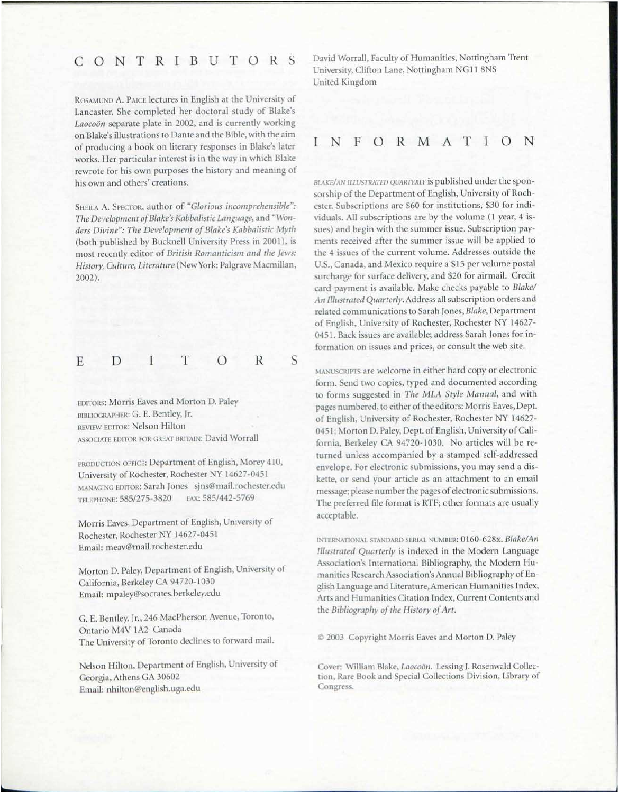#### CONTRIBUTOR

ROSAMUND A. PAICE lectures in English at the University of Lancaster. She completed her doctoral study of Blake's Laocoön separate plate in 2002, and is currently working on Blake's illustrations to Dante and the Bible, with the aim of producing a book on literary responses in Blake's later works. Her particular interest is in the way in which Blake rewrote for his own purposes the history and meaning of his own and others' creations.

SHEILA A. SPECTOR, author of "Glorious incomprehensible": The Development of Blake's Kabbalistic Language, and "Wonders Divine": The Development of Blake's Kabbalistic Myth (both published by Bucknell University Press in 2001), is most recently editor of *British Romanticism and the Jews: History, Culture, Literature* (New York: Palgrave Macmillan, 2002).

E D I T 0 R

S

EDITORS: Morris Eaves and Morton D. Pale BIBLIOGRAPHER: G. E. Bentley, Jr. REVIEW EDITOR: Nelson Hilton ASSOCIATE EDITOR FOR GREAT BRITAIN: David Worrall

PRODUCTION OFFICE: Department of English, Morey 410, University of Rochester, Rochester NY 14627-0451 MANAGING EDITOR: Sarah Jones sjns@mail.rochester.edu TELEPHONE: 585/275-3820 FAX: 585/442-5769

Morris Eaves, Department of English, University of Rochester, Rochester NY 14627-0451 Email: meav@mail.rochester.edu

Morton D. Paley, Department of English, University of California, Berkeley CA 94720-1030 Email: mpaley@socrates.berkeley.edu

G. E. Bentley, Jr., 246 MacPherson Avenue, Toronto, Ontario M4V 1A2 Canada The University of Toronto declines to forward mail.

Nelson Hilton, Department of English, University of Georgia, Athens GA 30602 Email: nhilton@english.uga.edu

David Worrall, Faculty of Humanities, Nottingham Trent University, Clifton Lane, Nottingham NG11 8NS United Kingdom

I FORMATION

**BLAKE/AN ILLUSTRATED QUARTERLY** is published under the sponsorship of the Department of English, University of Rochester. Subscriptions are \$60 for institutions, \$30 for individuals. All subscriptions are by the volume (1 year, 4 issues) and begin with the summer issue. Subscription payments received after the summer issue will be applied to the 4 issues of the current volume. Addresses outside the U.S., Canada, and Mexico require a \$15 per volume postal surcharge for surface delivery, and \$20 for airmail. Credit card payment is available. Make checks payable to *Blake*/ An Illustrated Quarterly. Address all subscription orders and related communications to Sarah Jones, Blake, Department of English, University of Rochester, Rochester NY 14627-0451. Back issues are available; address Sarah Jones for information on issues and prices, or consult the web site.

MANUSCRIPTS are welcome in either hard copy or electronic form. Send two copies, typed and documented according to forms suggested in The MLA Style Manual, and with pages numbered, to either of the editors: Morris Eaves, Dept. of English, University of Rochester, Rochester NY 14627-0451; Morton D. Paley, Dept. of English, University of California, Berkeley CA 94720-1030. No articles will be returned unless accompanied by a stamped self-addressed envelope. For electronic submissions, you may send a diskette, or send your article as an attachment to an email message; please number the pages of electronic submissions. The preferred file format is RTF; other formats are usually acceptable.

INTERNATIONAL STANDARD SERIAL NUMBER: 0160-628x. Blake/An *Illustrated Quarterly* is indexed in the Modern Language Association's International Bibliography, the Modern Humanities Research Association's Annual Bibliography of English Language and Literature, American Humanities Index, Arts and Humanities Citation Index, Current Contents and the Bibliography of the History of Art.

 $@$  2003 Copyright Morris Eaves and Morton D. Paley

Cover: William Blake, *Laocoön*. Lessing J. Rosenwald Collection, Rare Book and Special Collections Division, Library of Congress.